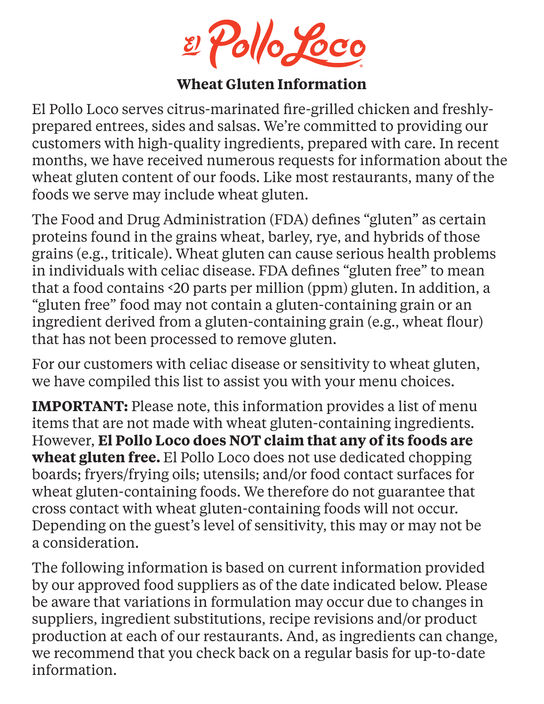2 Pollo Loco

#### **Wheat Gluten Information**

El Pollo Loco serves citrus-marinated fire-grilled chicken and freshlyprepared entrees, sides and salsas. We're committed to providing our customers with high-quality ingredients, prepared with care. In recent months, we have received numerous requests for information about the wheat gluten content of our foods. Like most restaurants, many of the foods we serve may include wheat gluten.

The Food and Drug Administration (FDA) defines "gluten" as certain proteins found in the grains wheat, barley, rye, and hybrids of those grains (e.g., triticale). Wheat gluten can cause serious health problems in individuals with celiac disease. FDA defines "gluten free" to mean that a food contains <20 parts per million (ppm) gluten. In addition, a "gluten free" food may not contain a gluten-containing grain or an ingredient derived from a gluten-containing grain (e.g., wheat flour) that has not been processed to remove gluten.

For our customers with celiac disease or sensitivity to wheat gluten, we have compiled this list to assist you with your menu choices.

**IMPORTANT:** Please note, this information provides a list of menu items that are not made with wheat gluten-containing ingredients. However, **El Pollo Loco does NOT claim that any of its foods are wheat gluten free.** El Pollo Loco does not use dedicated chopping boards; fryers/frying oils; utensils; and/or food contact surfaces for wheat gluten-containing foods. We therefore do not guarantee that cross contact with wheat gluten-containing foods will not occur. Depending on the guest's level of sensitivity, this may or may not be a consideration.

The following information is based on current information provided by our approved food suppliers as of the date indicated below. Please be aware that variations in formulation may occur due to changes in suppliers, ingredient substitutions, recipe revisions and/or product production at each of our restaurants. And, as ingredients can change, we recommend that you check back on a regular basis for up-to-date information.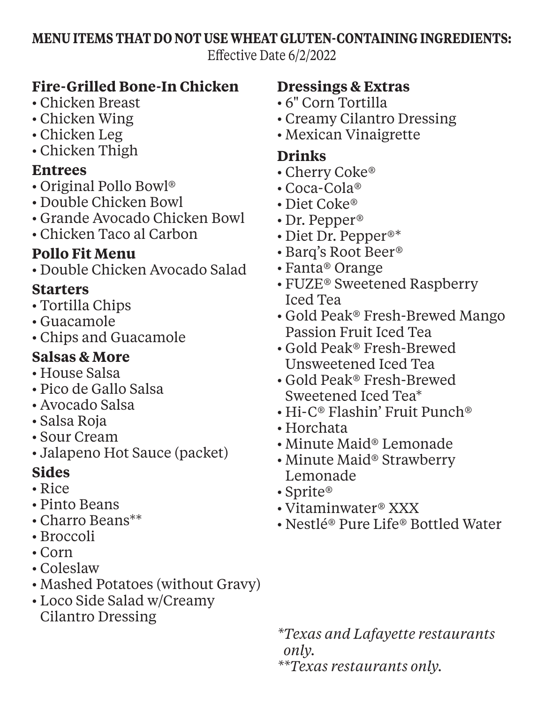#### **MENU ITEMS THAT DO NOT USE WHEAT GLUTEN-CONTAINING INGREDIENTS:**

Effective Date 6/2/2022

#### **Fire-Grilled Bone-In Chicken**

- Chicken Breast
- Chicken Wing
- Chicken Leg
- Chicken Thigh

#### **Entrees**

- Original Pollo Bowl®
- Double Chicken Bowl
- Grande Avocado Chicken Bowl
- Chicken Taco al Carbon

### **Pollo Fit Menu**

• Double Chicken Avocado Salad

# **Starters**

- Tortilla Chips
- Guacamole
- Chips and Guacamole

# **Salsas & More**

- House Salsa
- Pico de Gallo Salsa
- Avocado Salsa
- Salsa Roja
- Sour Cream
- Jalapeno Hot Sauce (packet)

# **Sides**

- Rice
- Pinto Beans
- Charro Beans\*\*
- Broccoli
- Corn
- Coleslaw
- Mashed Potatoes (without Gravy)
- Loco Side Salad w/Creamy Cilantro Dressing

### **Dressings & Extras**

- 6" Corn Tortilla
- Creamy Cilantro Dressing
- Mexican Vinaigrette

#### **Drinks**

- Cherry Coke®
- Coca-Cola®
- Diet Coke®
- Dr. Pepper®
- Diet Dr. Pepper®\*
- Barq's Root Beer®
- Fanta® Orange
- FUZE® Sweetened Raspberry Iced Tea
- Gold Peak® Fresh-Brewed Mango Passion Fruit Iced Tea
- Gold Peak® Fresh-Brewed Unsweetened Iced Tea
- Gold Peak® Fresh-Brewed Sweetened Iced Tea\*
- Hi-C® Flashin' Fruit Punch®
- Horchata
- Minute Maid® Lemonade
- Minute Maid® Strawberry Lemonade
- Sprite®
- Vitaminwater® XXX
- Nestlé® Pure Life® Bottled Water

*\*Texas and Lafayette restaurants only. \*\*Texas restaurants only.*